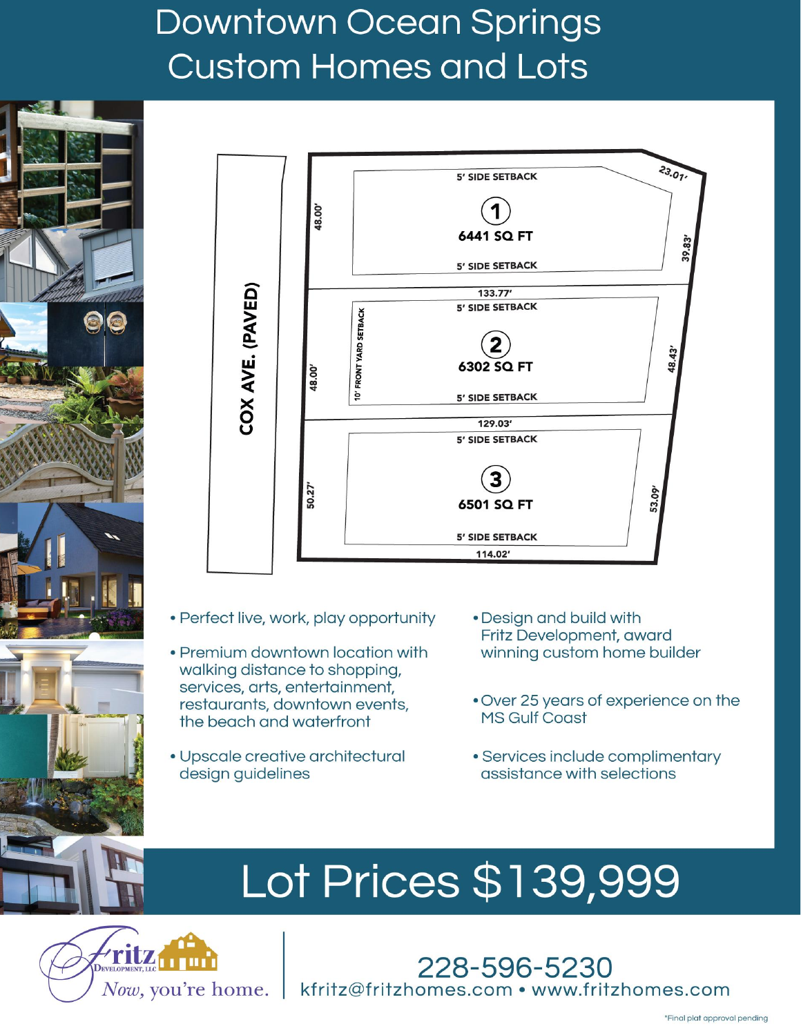# **Downtown Ocean Springs Custom Homes and Lots**





- Perfect live, work, play opportunity
- Premium downtown location with walking distance to shopping. services, arts, entertainment, restaurants, downtown events, the beach and waterfront
- · Upscale creative architectural design guidelines
- Design and build with Fritz Development, award winning custom home builder
- . Over 25 years of experience on the **MS Gulf Coast**
- Services include complimentary assistance with selections

# Lot Prices \$139,999

**DECLARATION OF COVENANTS,**

kfritz@fritzhomes.com • www.fritzhomes.com

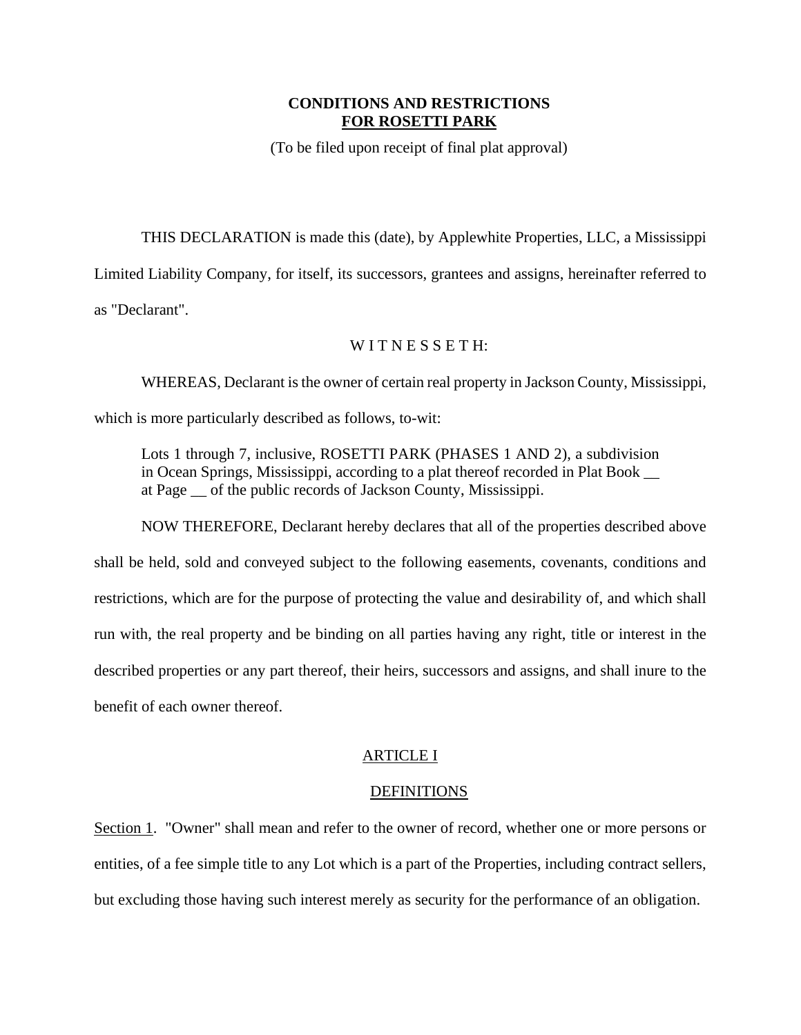# **CONDITIONS AND RESTRICTIONS FOR ROSETTI PARK**

(To be filed upon receipt of final plat approval)

THIS DECLARATION is made this (date), by Applewhite Properties, LLC, a Mississippi Limited Liability Company, for itself, its successors, grantees and assigns, hereinafter referred to as "Declarant".

# WITNESSETH:

WHEREAS, Declarant is the owner of certain real property in Jackson County, Mississippi,

which is more particularly described as follows, to-wit:

Lots 1 through 7, inclusive, ROSETTI PARK (PHASES 1 AND 2), a subdivision in Ocean Springs, Mississippi, according to a plat thereof recorded in Plat Book \_\_ at Page of the public records of Jackson County, Mississippi.

NOW THEREFORE, Declarant hereby declares that all of the properties described above shall be held, sold and conveyed subject to the following easements, covenants, conditions and restrictions, which are for the purpose of protecting the value and desirability of, and which shall run with, the real property and be binding on all parties having any right, title or interest in the described properties or any part thereof, their heirs, successors and assigns, and shall inure to the

benefit of each owner thereof.

# ARTICLE I

#### DEFINITIONS

Section 1. "Owner" shall mean and refer to the owner of record, whether one or more persons or entities, of a fee simple title to any Lot which is a part of the Properties, including contract sellers, but excluding those having such interest merely as security for the performance of an obligation.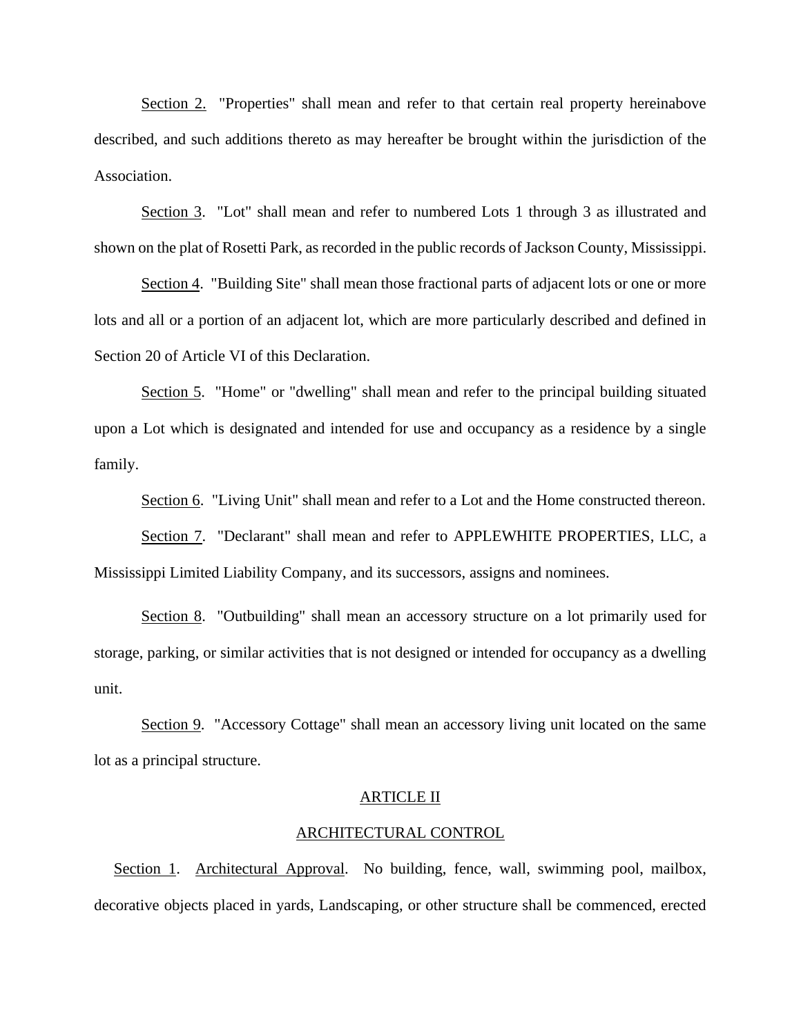Section 2. "Properties" shall mean and refer to that certain real property hereinabove described, and such additions thereto as may hereafter be brought within the jurisdiction of the Association.

Section 3. "Lot" shall mean and refer to numbered Lots 1 through 3 as illustrated and shown on the plat of Rosetti Park, as recorded in the public records of Jackson County, Mississippi.

Section 4. "Building Site" shall mean those fractional parts of adjacent lots or one or more lots and all or a portion of an adjacent lot, which are more particularly described and defined in Section 20 of Article VI of this Declaration.

Section 5. "Home" or "dwelling" shall mean and refer to the principal building situated upon a Lot which is designated and intended for use and occupancy as a residence by a single family.

Section 6. "Living Unit" shall mean and refer to a Lot and the Home constructed thereon.

Section 7. "Declarant" shall mean and refer to APPLEWHITE PROPERTIES, LLC, a Mississippi Limited Liability Company, and its successors, assigns and nominees.

Section 8. "Outbuilding" shall mean an accessory structure on a lot primarily used for storage, parking, or similar activities that is not designed or intended for occupancy as a dwelling unit.

Section 9. "Accessory Cottage" shall mean an accessory living unit located on the same lot as a principal structure.

#### ARTICLE II

#### ARCHITECTURAL CONTROL

Section 1. Architectural Approval. No building, fence, wall, swimming pool, mailbox, decorative objects placed in yards, Landscaping, or other structure shall be commenced, erected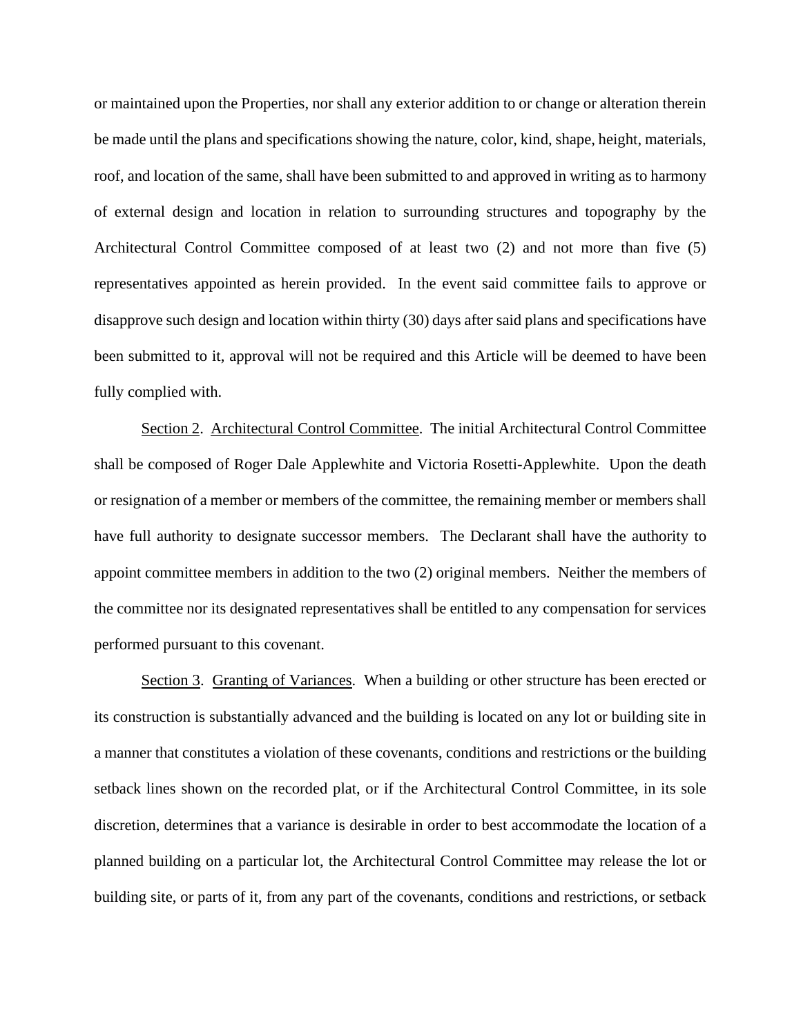or maintained upon the Properties, nor shall any exterior addition to or change or alteration therein be made until the plans and specifications showing the nature, color, kind, shape, height, materials, roof, and location of the same, shall have been submitted to and approved in writing as to harmony of external design and location in relation to surrounding structures and topography by the Architectural Control Committee composed of at least two (2) and not more than five (5) representatives appointed as herein provided. In the event said committee fails to approve or disapprove such design and location within thirty (30) days after said plans and specifications have been submitted to it, approval will not be required and this Article will be deemed to have been fully complied with.

Section 2. Architectural Control Committee. The initial Architectural Control Committee shall be composed of Roger Dale Applewhite and Victoria Rosetti-Applewhite. Upon the death or resignation of a member or members of the committee, the remaining member or members shall have full authority to designate successor members. The Declarant shall have the authority to appoint committee members in addition to the two (2) original members. Neither the members of the committee nor its designated representatives shall be entitled to any compensation for services performed pursuant to this covenant.

Section 3. Granting of Variances. When a building or other structure has been erected or its construction is substantially advanced and the building is located on any lot or building site in a manner that constitutes a violation of these covenants, conditions and restrictions or the building setback lines shown on the recorded plat, or if the Architectural Control Committee, in its sole discretion, determines that a variance is desirable in order to best accommodate the location of a planned building on a particular lot, the Architectural Control Committee may release the lot or building site, or parts of it, from any part of the covenants, conditions and restrictions, or setback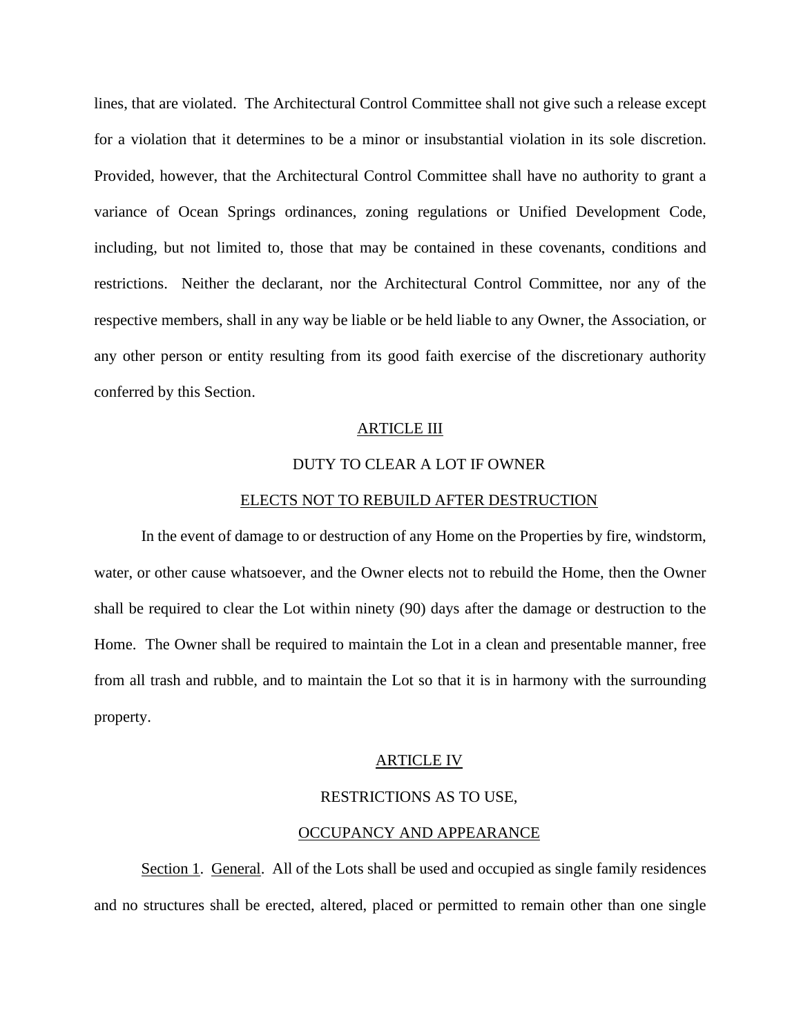lines, that are violated. The Architectural Control Committee shall not give such a release except for a violation that it determines to be a minor or insubstantial violation in its sole discretion. Provided, however, that the Architectural Control Committee shall have no authority to grant a variance of Ocean Springs ordinances, zoning regulations or Unified Development Code, including, but not limited to, those that may be contained in these covenants, conditions and restrictions. Neither the declarant, nor the Architectural Control Committee, nor any of the respective members, shall in any way be liable or be held liable to any Owner, the Association, or any other person or entity resulting from its good faith exercise of the discretionary authority conferred by this Section.

#### ARTICLE III

#### DUTY TO CLEAR A LOT IF OWNER

#### ELECTS NOT TO REBUILD AFTER DESTRUCTION

In the event of damage to or destruction of any Home on the Properties by fire, windstorm, water, or other cause whatsoever, and the Owner elects not to rebuild the Home, then the Owner shall be required to clear the Lot within ninety (90) days after the damage or destruction to the Home. The Owner shall be required to maintain the Lot in a clean and presentable manner, free from all trash and rubble, and to maintain the Lot so that it is in harmony with the surrounding property.

#### ARTICLE IV

#### RESTRICTIONS AS TO USE,

#### OCCUPANCY AND APPEARANCE

Section 1. General. All of the Lots shall be used and occupied as single family residences and no structures shall be erected, altered, placed or permitted to remain other than one single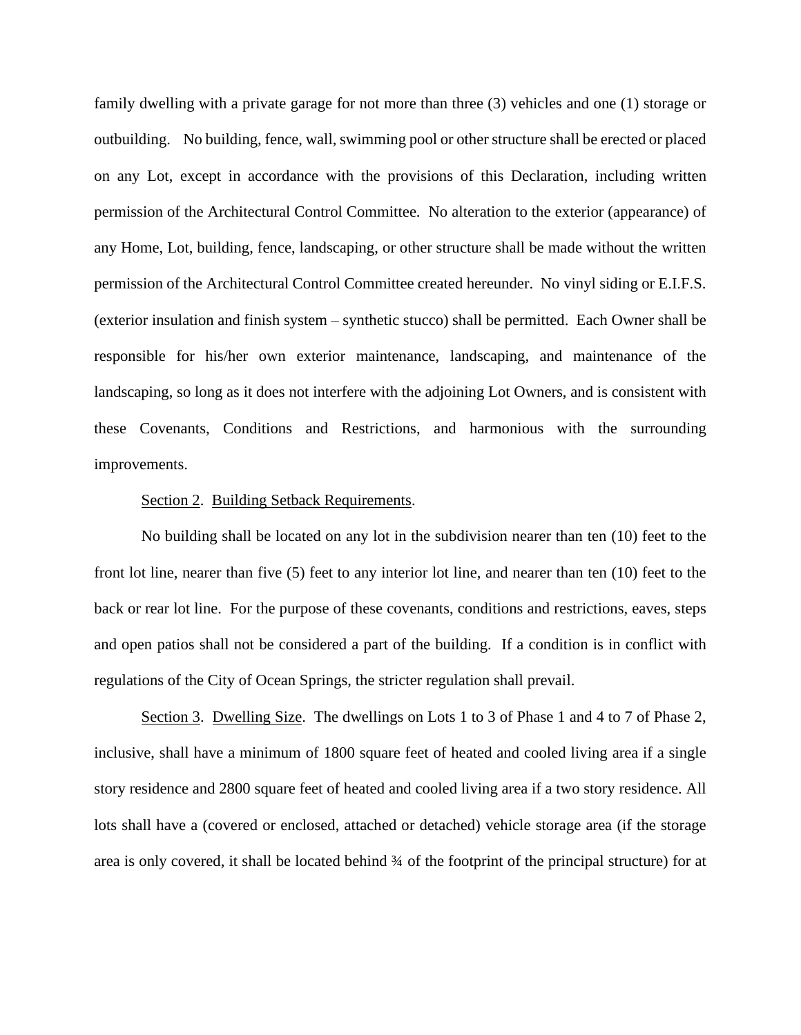family dwelling with a private garage for not more than three (3) vehicles and one (1) storage or outbuilding. No building, fence, wall, swimming pool or other structure shall be erected or placed on any Lot, except in accordance with the provisions of this Declaration, including written permission of the Architectural Control Committee. No alteration to the exterior (appearance) of any Home, Lot, building, fence, landscaping, or other structure shall be made without the written permission of the Architectural Control Committee created hereunder. No vinyl siding or E.I.F.S. (exterior insulation and finish system – synthetic stucco) shall be permitted. Each Owner shall be responsible for his/her own exterior maintenance, landscaping, and maintenance of the landscaping, so long as it does not interfere with the adjoining Lot Owners, and is consistent with these Covenants, Conditions and Restrictions, and harmonious with the surrounding improvements.

#### Section 2. Building Setback Requirements.

No building shall be located on any lot in the subdivision nearer than ten (10) feet to the front lot line, nearer than five (5) feet to any interior lot line, and nearer than ten (10) feet to the back or rear lot line. For the purpose of these covenants, conditions and restrictions, eaves, steps and open patios shall not be considered a part of the building. If a condition is in conflict with regulations of the City of Ocean Springs, the stricter regulation shall prevail.

Section 3. Dwelling Size. The dwellings on Lots 1 to 3 of Phase 1 and 4 to 7 of Phase 2, inclusive, shall have a minimum of 1800 square feet of heated and cooled living area if a single story residence and 2800 square feet of heated and cooled living area if a two story residence. All lots shall have a (covered or enclosed, attached or detached) vehicle storage area (if the storage area is only covered, it shall be located behind ¾ of the footprint of the principal structure) for at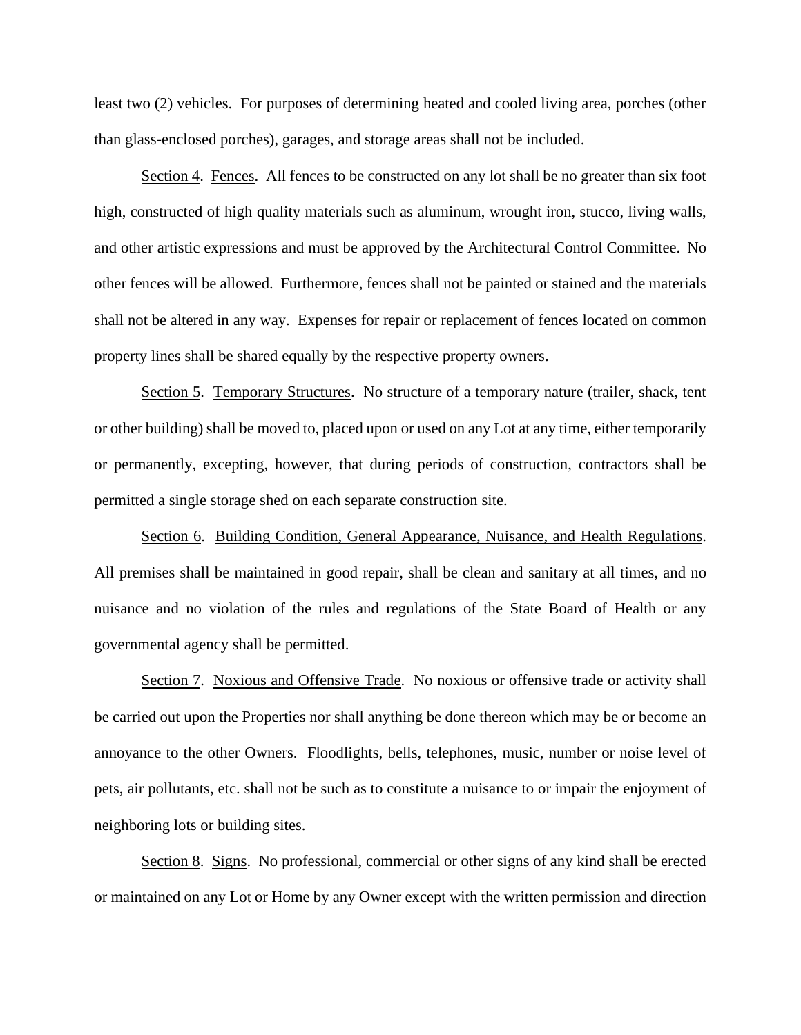least two (2) vehicles. For purposes of determining heated and cooled living area, porches (other than glass-enclosed porches), garages, and storage areas shall not be included.

Section 4. Fences. All fences to be constructed on any lot shall be no greater than six foot high, constructed of high quality materials such as aluminum, wrought iron, stucco, living walls, and other artistic expressions and must be approved by the Architectural Control Committee. No other fences will be allowed. Furthermore, fences shall not be painted or stained and the materials shall not be altered in any way. Expenses for repair or replacement of fences located on common property lines shall be shared equally by the respective property owners.

Section 5. Temporary Structures. No structure of a temporary nature (trailer, shack, tent or other building) shall be moved to, placed upon or used on any Lot at any time, either temporarily or permanently, excepting, however, that during periods of construction, contractors shall be permitted a single storage shed on each separate construction site.

Section 6. Building Condition, General Appearance, Nuisance, and Health Regulations. All premises shall be maintained in good repair, shall be clean and sanitary at all times, and no nuisance and no violation of the rules and regulations of the State Board of Health or any governmental agency shall be permitted.

Section 7. Noxious and Offensive Trade. No noxious or offensive trade or activity shall be carried out upon the Properties nor shall anything be done thereon which may be or become an annoyance to the other Owners. Floodlights, bells, telephones, music, number or noise level of pets, air pollutants, etc. shall not be such as to constitute a nuisance to or impair the enjoyment of neighboring lots or building sites.

Section 8. Signs. No professional, commercial or other signs of any kind shall be erected or maintained on any Lot or Home by any Owner except with the written permission and direction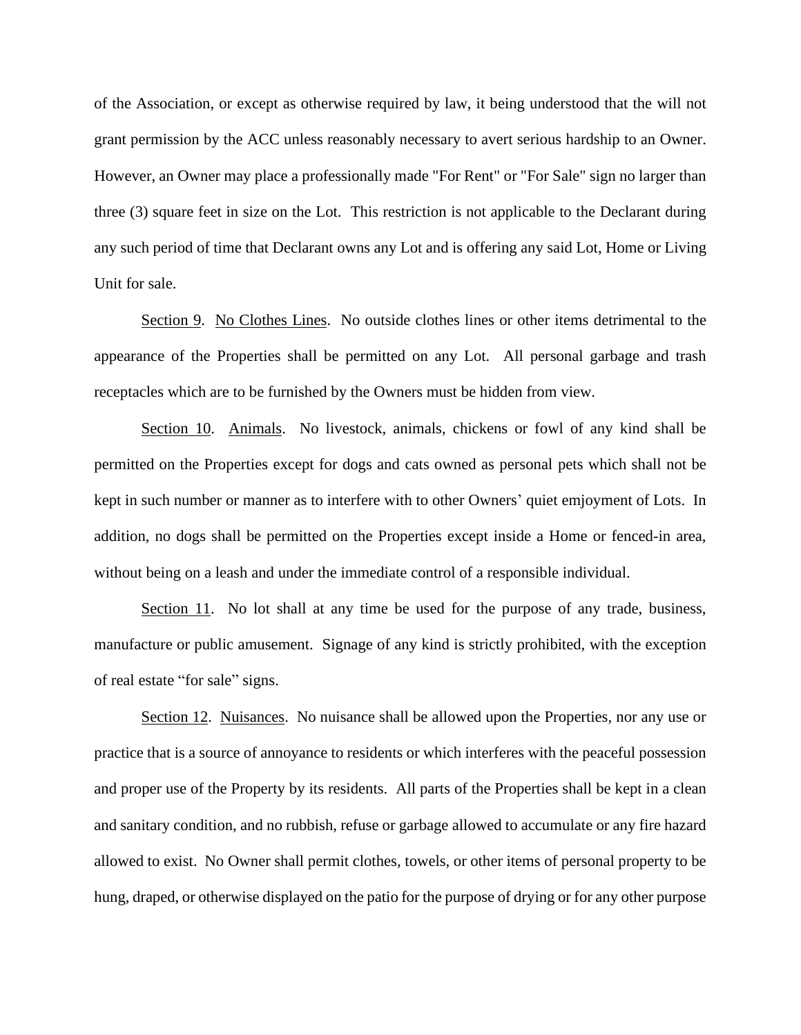of the Association, or except as otherwise required by law, it being understood that the will not grant permission by the ACC unless reasonably necessary to avert serious hardship to an Owner. However, an Owner may place a professionally made "For Rent" or "For Sale" sign no larger than three (3) square feet in size on the Lot. This restriction is not applicable to the Declarant during any such period of time that Declarant owns any Lot and is offering any said Lot, Home or Living Unit for sale.

Section 9. No Clothes Lines. No outside clothes lines or other items detrimental to the appearance of the Properties shall be permitted on any Lot. All personal garbage and trash receptacles which are to be furnished by the Owners must be hidden from view.

Section 10. Animals. No livestock, animals, chickens or fowl of any kind shall be permitted on the Properties except for dogs and cats owned as personal pets which shall not be kept in such number or manner as to interfere with to other Owners' quiet emjoyment of Lots. In addition, no dogs shall be permitted on the Properties except inside a Home or fenced-in area, without being on a leash and under the immediate control of a responsible individual.

Section 11. No lot shall at any time be used for the purpose of any trade, business, manufacture or public amusement. Signage of any kind is strictly prohibited, with the exception of real estate "for sale" signs.

Section 12. Nuisances. No nuisance shall be allowed upon the Properties, nor any use or practice that is a source of annoyance to residents or which interferes with the peaceful possession and proper use of the Property by its residents. All parts of the Properties shall be kept in a clean and sanitary condition, and no rubbish, refuse or garbage allowed to accumulate or any fire hazard allowed to exist. No Owner shall permit clothes, towels, or other items of personal property to be hung, draped, or otherwise displayed on the patio for the purpose of drying or for any other purpose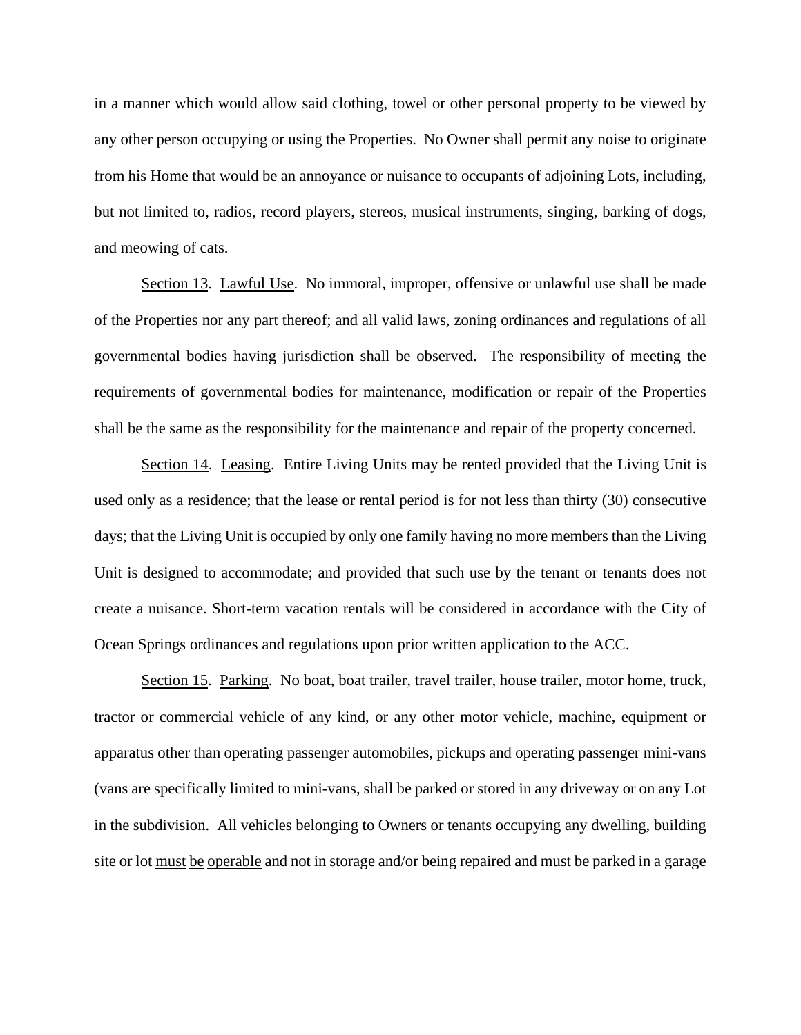in a manner which would allow said clothing, towel or other personal property to be viewed by any other person occupying or using the Properties. No Owner shall permit any noise to originate from his Home that would be an annoyance or nuisance to occupants of adjoining Lots, including, but not limited to, radios, record players, stereos, musical instruments, singing, barking of dogs, and meowing of cats.

Section 13. Lawful Use. No immoral, improper, offensive or unlawful use shall be made of the Properties nor any part thereof; and all valid laws, zoning ordinances and regulations of all governmental bodies having jurisdiction shall be observed. The responsibility of meeting the requirements of governmental bodies for maintenance, modification or repair of the Properties shall be the same as the responsibility for the maintenance and repair of the property concerned.

Section 14. Leasing. Entire Living Units may be rented provided that the Living Unit is used only as a residence; that the lease or rental period is for not less than thirty (30) consecutive days; that the Living Unit is occupied by only one family having no more members than the Living Unit is designed to accommodate; and provided that such use by the tenant or tenants does not create a nuisance. Short-term vacation rentals will be considered in accordance with the City of Ocean Springs ordinances and regulations upon prior written application to the ACC.

Section 15. Parking. No boat, boat trailer, travel trailer, house trailer, motor home, truck, tractor or commercial vehicle of any kind, or any other motor vehicle, machine, equipment or apparatus other than operating passenger automobiles, pickups and operating passenger mini-vans (vans are specifically limited to mini-vans, shall be parked or stored in any driveway or on any Lot in the subdivision. All vehicles belonging to Owners or tenants occupying any dwelling, building site or lot must be operable and not in storage and/or being repaired and must be parked in a garage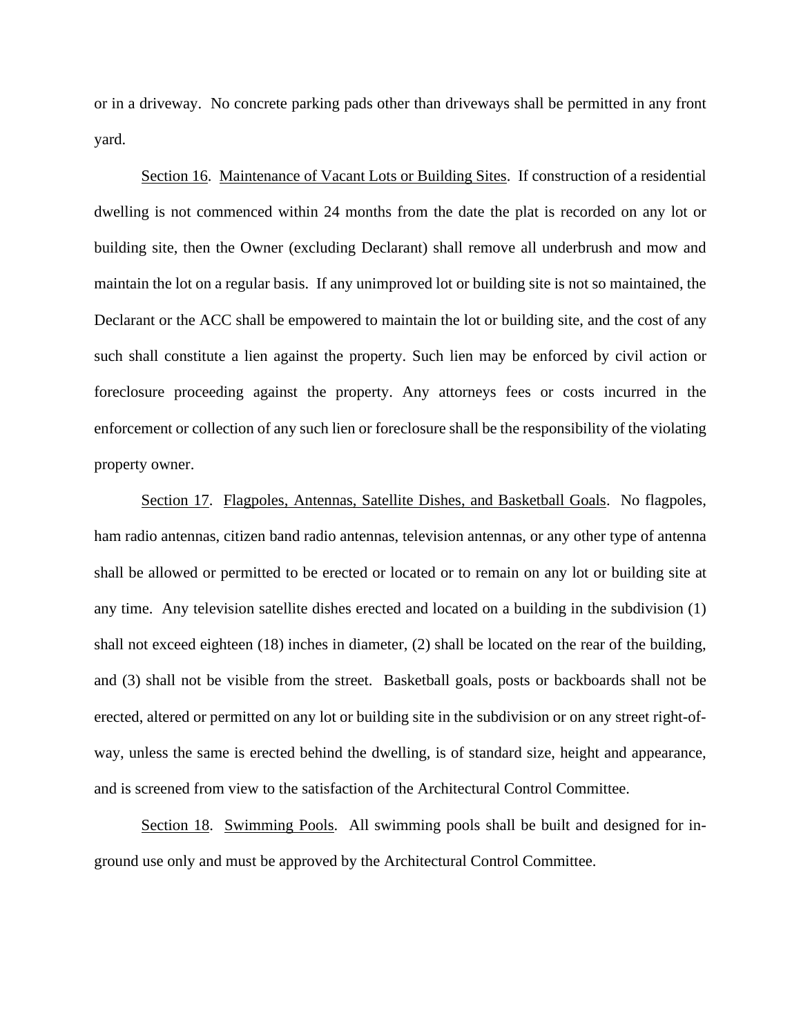or in a driveway. No concrete parking pads other than driveways shall be permitted in any front yard.

Section 16. Maintenance of Vacant Lots or Building Sites. If construction of a residential dwelling is not commenced within 24 months from the date the plat is recorded on any lot or building site, then the Owner (excluding Declarant) shall remove all underbrush and mow and maintain the lot on a regular basis. If any unimproved lot or building site is not so maintained, the Declarant or the ACC shall be empowered to maintain the lot or building site, and the cost of any such shall constitute a lien against the property. Such lien may be enforced by civil action or foreclosure proceeding against the property. Any attorneys fees or costs incurred in the enforcement or collection of any such lien or foreclosure shall be the responsibility of the violating property owner.

Section 17. Flagpoles, Antennas, Satellite Dishes, and Basketball Goals. No flagpoles, ham radio antennas, citizen band radio antennas, television antennas, or any other type of antenna shall be allowed or permitted to be erected or located or to remain on any lot or building site at any time. Any television satellite dishes erected and located on a building in the subdivision (1) shall not exceed eighteen (18) inches in diameter, (2) shall be located on the rear of the building, and (3) shall not be visible from the street. Basketball goals, posts or backboards shall not be erected, altered or permitted on any lot or building site in the subdivision or on any street right-ofway, unless the same is erected behind the dwelling, is of standard size, height and appearance, and is screened from view to the satisfaction of the Architectural Control Committee.

Section 18. Swimming Pools. All swimming pools shall be built and designed for inground use only and must be approved by the Architectural Control Committee.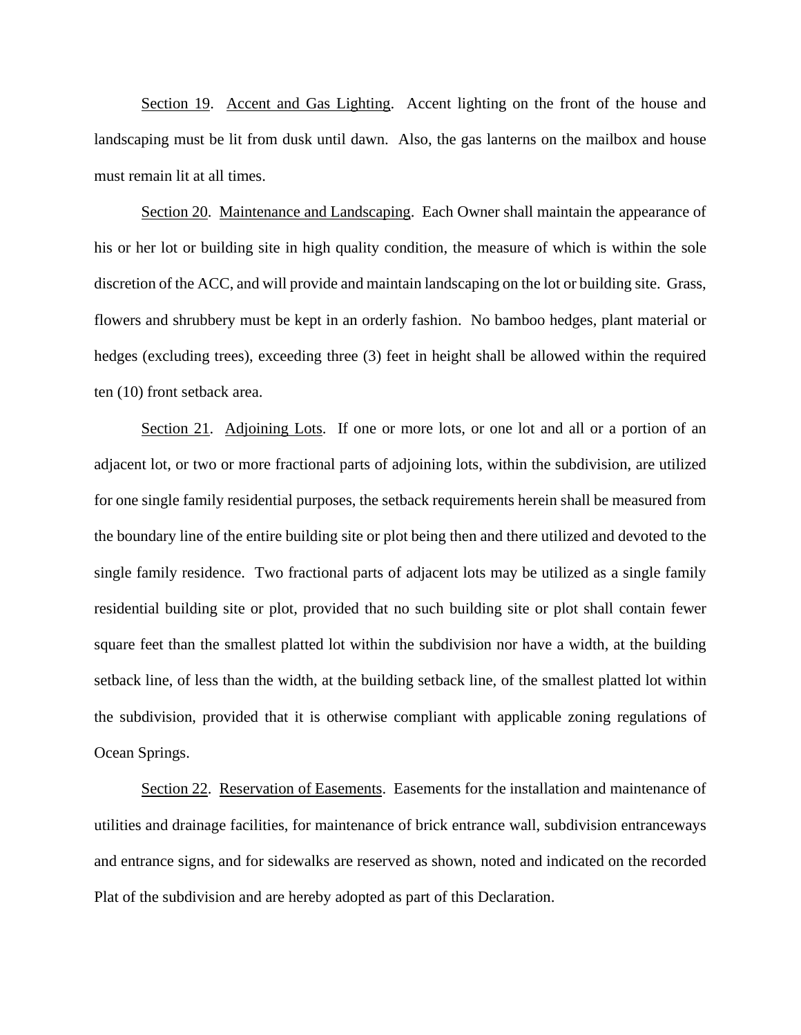Section 19. Accent and Gas Lighting. Accent lighting on the front of the house and landscaping must be lit from dusk until dawn. Also, the gas lanterns on the mailbox and house must remain lit at all times.

Section 20. Maintenance and Landscaping. Each Owner shall maintain the appearance of his or her lot or building site in high quality condition, the measure of which is within the sole discretion of the ACC, and will provide and maintain landscaping on the lot or building site. Grass, flowers and shrubbery must be kept in an orderly fashion. No bamboo hedges, plant material or hedges (excluding trees), exceeding three (3) feet in height shall be allowed within the required ten (10) front setback area.

Section 21. Adjoining Lots. If one or more lots, or one lot and all or a portion of an adjacent lot, or two or more fractional parts of adjoining lots, within the subdivision, are utilized for one single family residential purposes, the setback requirements herein shall be measured from the boundary line of the entire building site or plot being then and there utilized and devoted to the single family residence. Two fractional parts of adjacent lots may be utilized as a single family residential building site or plot, provided that no such building site or plot shall contain fewer square feet than the smallest platted lot within the subdivision nor have a width, at the building setback line, of less than the width, at the building setback line, of the smallest platted lot within the subdivision, provided that it is otherwise compliant with applicable zoning regulations of Ocean Springs.

Section 22. Reservation of Easements. Easements for the installation and maintenance of utilities and drainage facilities, for maintenance of brick entrance wall, subdivision entranceways and entrance signs, and for sidewalks are reserved as shown, noted and indicated on the recorded Plat of the subdivision and are hereby adopted as part of this Declaration.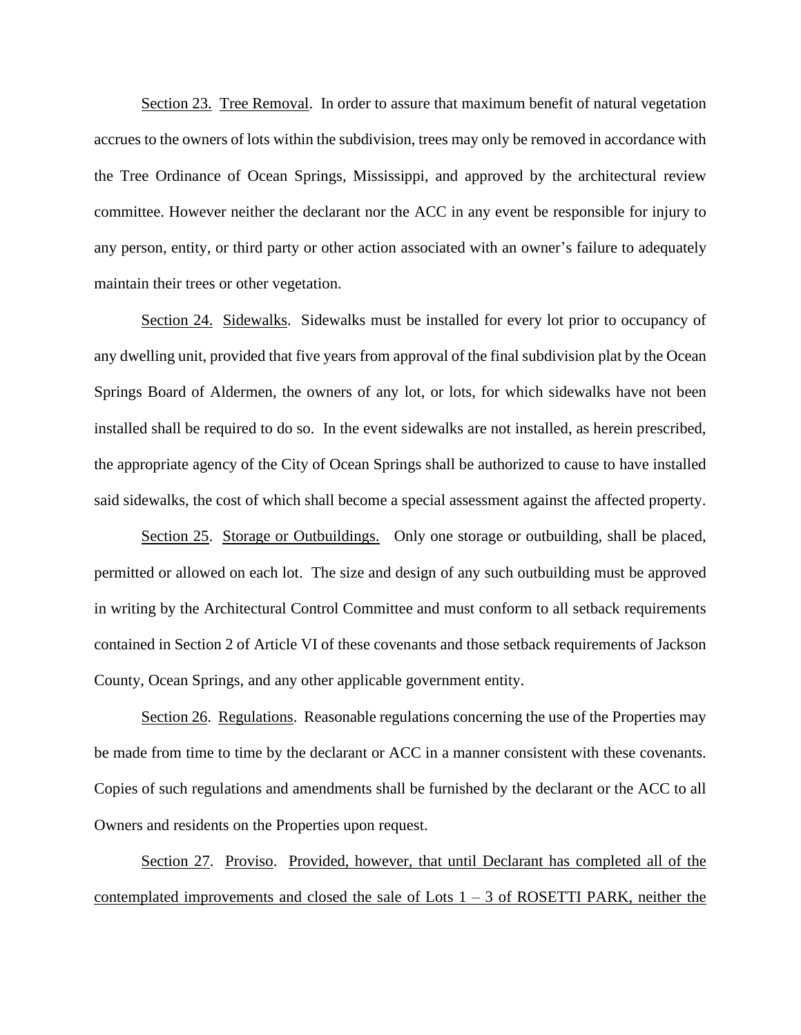Section 23. Tree Removal. In order to assure that maximum benefit of natural vegetation accrues to the owners of lots within the subdivision, trees may only be removed in accordance with the Tree Ordinance of Ocean Springs, Mississippi, and approved by the architectural review committee. However neither the declarant nor the ACC in any event be responsible for injury to any person, entity, or third party or other action associated with an owner's failure to adequately maintain their trees or other vegetation.

Section 24. Sidewalks. Sidewalks must be installed for every lot prior to occupancy of any dwelling unit, provided that five years from approval of the final subdivision plat by the Ocean Springs Board of Aldermen, the owners of any lot, or lots, for which sidewalks have not been installed shall be required to do so. In the event sidewalks are not installed, as herein prescribed, the appropriate agency of the City of Ocean Springs shall be authorized to cause to have installed said sidewalks, the cost of which shall become a special assessment against the affected property.

Section 25. Storage or Outbuildings. Only one storage or outbuilding, shall be placed, permitted or allowed on each lot. The size and design of any such outbuilding must be approved in writing by the Architectural Control Committee and must conform to all setback requirements contained in Section 2 of Article VI of these covenants and those setback requirements of Jackson County, Ocean Springs, and any other applicable government entity.

Section 26. Regulations. Reasonable regulations concerning the use of the Properties may be made from time to time by the declarant or ACC in a manner consistent with these covenants. Copies of such regulations and amendments shall be furnished by the declarant or the ACC to all Owners and residents on the Properties upon request.

Section 27. Proviso. Provided, however, that until Declarant has completed all of the contemplated improvements and closed the sale of Lots  $1 - 3$  of ROSETTI PARK, neither the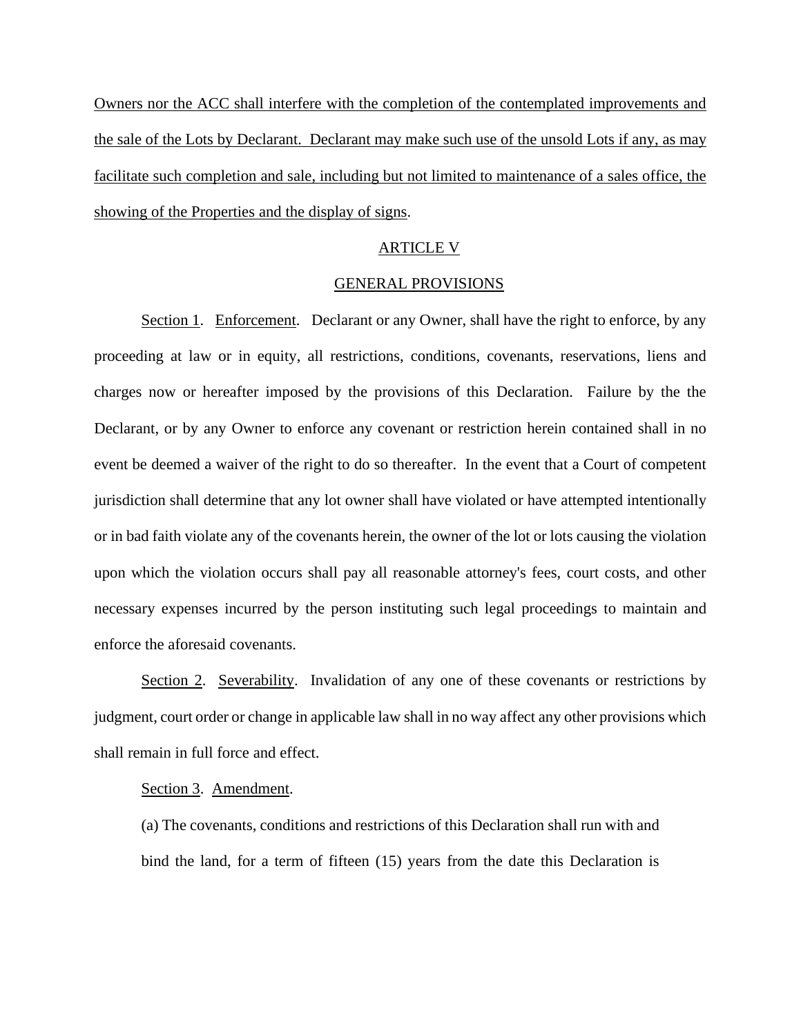Owners nor the ACC shall interfere with the completion of the contemplated improvements and the sale of the Lots by Declarant. Declarant may make such use of the unsold Lots if any, as may facilitate such completion and sale, including but not limited to maintenance of a sales office, the showing of the Properties and the display of signs.

#### ARTICLE V

#### GENERAL PROVISIONS

Section 1. Enforcement. Declarant or any Owner, shall have the right to enforce, by any proceeding at law or in equity, all restrictions, conditions, covenants, reservations, liens and charges now or hereafter imposed by the provisions of this Declaration. Failure by the the Declarant, or by any Owner to enforce any covenant or restriction herein contained shall in no event be deemed a waiver of the right to do so thereafter. In the event that a Court of competent jurisdiction shall determine that any lot owner shall have violated or have attempted intentionally or in bad faith violate any of the covenants herein, the owner of the lot or lots causing the violation upon which the violation occurs shall pay all reasonable attorney's fees, court costs, and other necessary expenses incurred by the person instituting such legal proceedings to maintain and enforce the aforesaid covenants.

Section 2. Severability. Invalidation of any one of these covenants or restrictions by judgment, court order or change in applicable law shall in no way affect any other provisions which shall remain in full force and effect.

#### Section 3. Amendment.

(a) The covenants, conditions and restrictions of this Declaration shall run with and bind the land, for a term of fifteen (15) years from the date this Declaration is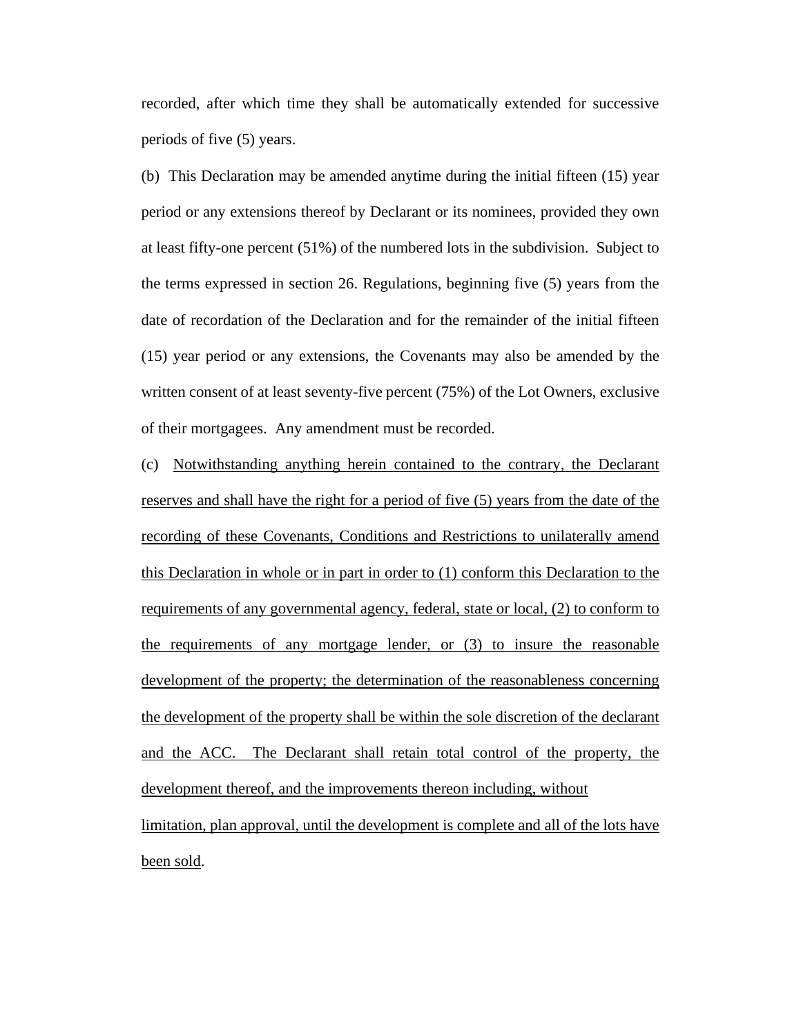recorded, after which time they shall be automatically extended for successive periods of five (5) years.

(b) This Declaration may be amended anytime during the initial fifteen (15) year period or any extensions thereof by Declarant or its nominees, provided they own at least fifty-one percent (51%) of the numbered lots in the subdivision. Subject to the terms expressed in section 26. Regulations, beginning five (5) years from the date of recordation of the Declaration and for the remainder of the initial fifteen (15) year period or any extensions, the Covenants may also be amended by the written consent of at least seventy-five percent (75%) of the Lot Owners, exclusive of their mortgagees. Any amendment must be recorded.

(c) Notwithstanding anything herein contained to the contrary, the Declarant reserves and shall have the right for a period of five (5) years from the date of the recording of these Covenants, Conditions and Restrictions to unilaterally amend this Declaration in whole or in part in order to (1) conform this Declaration to the requirements of any governmental agency, federal, state or local, (2) to conform to the requirements of any mortgage lender, or (3) to insure the reasonable development of the property; the determination of the reasonableness concerning the development of the property shall be within the sole discretion of the declarant and the ACC. The Declarant shall retain total control of the property, the development thereof, and the improvements thereon including, without limitation, plan approval, until the development is complete and all of the lots have

been sold.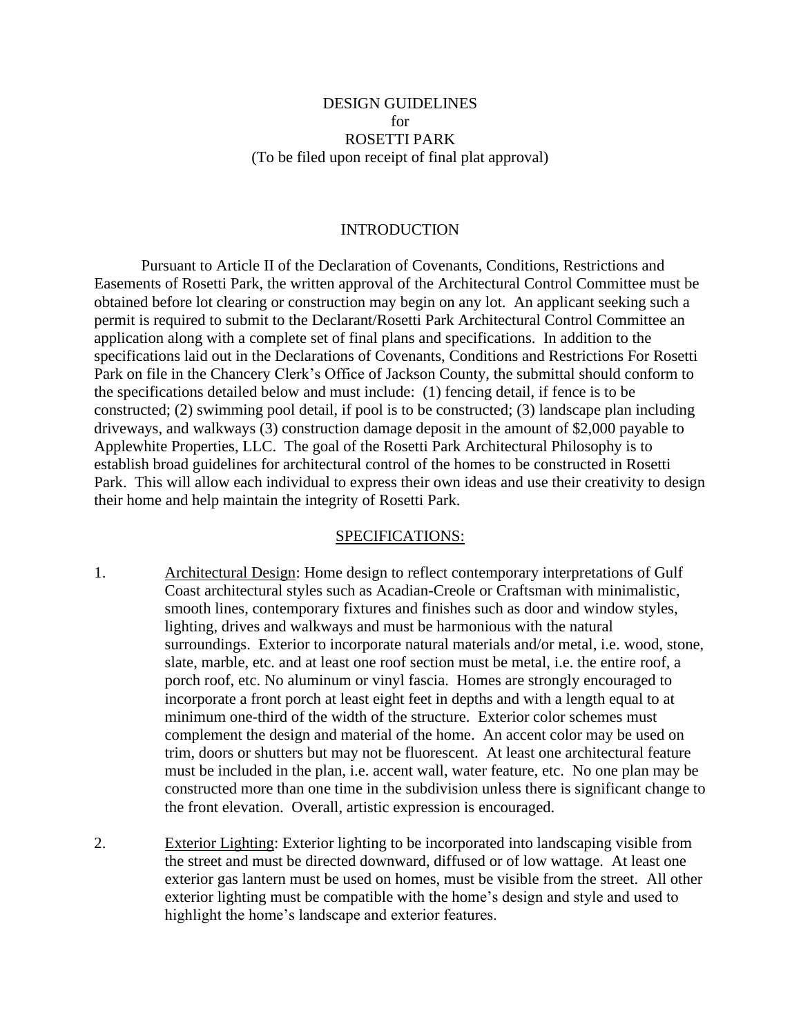# DESIGN GUIDELINES for ROSETTI PARK (To be filed upon receipt of final plat approval)

#### INTRODUCTION

Pursuant to Article II of the Declaration of Covenants, Conditions, Restrictions and Easements of Rosetti Park, the written approval of the Architectural Control Committee must be obtained before lot clearing or construction may begin on any lot. An applicant seeking such a permit is required to submit to the Declarant/Rosetti Park Architectural Control Committee an application along with a complete set of final plans and specifications. In addition to the specifications laid out in the Declarations of Covenants, Conditions and Restrictions For Rosetti Park on file in the Chancery Clerk's Office of Jackson County, the submittal should conform to the specifications detailed below and must include: (1) fencing detail, if fence is to be constructed; (2) swimming pool detail, if pool is to be constructed; (3) landscape plan including driveways, and walkways (3) construction damage deposit in the amount of \$2,000 payable to Applewhite Properties, LLC. The goal of the Rosetti Park Architectural Philosophy is to establish broad guidelines for architectural control of the homes to be constructed in Rosetti Park. This will allow each individual to express their own ideas and use their creativity to design their home and help maintain the integrity of Rosetti Park.

#### SPECIFICATIONS:

- 1. Architectural Design: Home design to reflect contemporary interpretations of Gulf Coast architectural styles such as Acadian-Creole or Craftsman with minimalistic, smooth lines, contemporary fixtures and finishes such as door and window styles, lighting, drives and walkways and must be harmonious with the natural surroundings. Exterior to incorporate natural materials and/or metal, i.e. wood, stone, slate, marble, etc. and at least one roof section must be metal, i.e. the entire roof, a porch roof, etc. No aluminum or vinyl fascia. Homes are strongly encouraged to incorporate a front porch at least eight feet in depths and with a length equal to at minimum one-third of the width of the structure. Exterior color schemes must complement the design and material of the home. An accent color may be used on trim, doors or shutters but may not be fluorescent. At least one architectural feature must be included in the plan, i.e. accent wall, water feature, etc. No one plan may be constructed more than one time in the subdivision unless there is significant change to the front elevation. Overall, artistic expression is encouraged.
- 2. Exterior Lighting: Exterior lighting to be incorporated into landscaping visible from the street and must be directed downward, diffused or of low wattage. At least one exterior gas lantern must be used on homes, must be visible from the street. All other exterior lighting must be compatible with the home's design and style and used to highlight the home's landscape and exterior features.